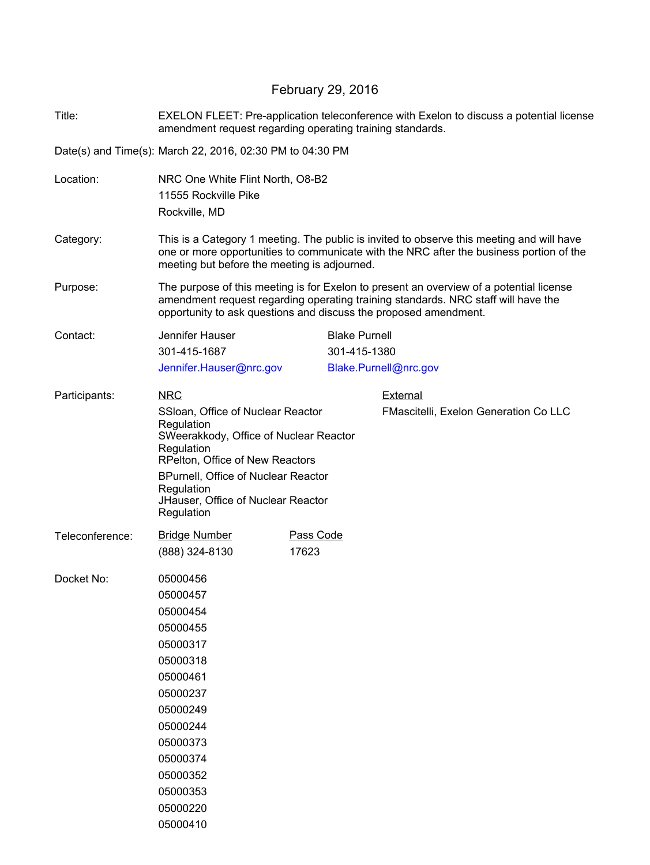## February 29, 2016

Title: EXELON FLEET: Pre-application teleconference with Exelon to discuss a potential license amendment request regarding operating training standards.

Date(s) and Time(s): March 22, 2016, 02:30 PM to 04:30 PM

Location: NRC One White Flint North, O8-B2 11555 Rockville Pike Rockville, MD

- Category: This is a Category 1 meeting. The public is invited to observe this meeting and will have one or more opportunities to communicate with the NRC after the business portion of the meeting but before the meeting is adjourned.
- Purpose: The purpose of this meeting is for Exelon to present an overview of a potential license amendment request regarding operating training standards. NRC staff will have the opportunity to ask questions and discuss the proposed amendment.

Contact: Jennifer Hauser 301-415-1687 Jennifer.Hauser@nrc.gov Blake Purnell 301-415-1380 Blake.Purnell@nrc.gov

| Participants:   | <b>NRC</b><br>SSloan, Office of Nuclear Reactor<br>Regulation<br>SWeerakkody, Office of Nuclear Reactor<br>Regulation<br>RPelton, Office of New Reactors<br>BPurnell, Office of Nuclear Reactor<br>Regulation<br>JHauser, Office of Nuclear Reactor<br>Regulation |                    | External<br>FMascitelli, Exelon Generation Co LLC |
|-----------------|-------------------------------------------------------------------------------------------------------------------------------------------------------------------------------------------------------------------------------------------------------------------|--------------------|---------------------------------------------------|
| Teleconference: | <b>Bridge Number</b><br>(888) 324-8130                                                                                                                                                                                                                            | Pass Code<br>17623 |                                                   |
| Docket No:      | 05000456<br>05000457<br>05000454<br>05000455<br>05000317<br>05000318<br>05000461<br>05000237<br>05000249<br>05000244<br>05000373<br>05000374<br>05000352<br>05000353<br>05000220<br>05000410                                                                      |                    |                                                   |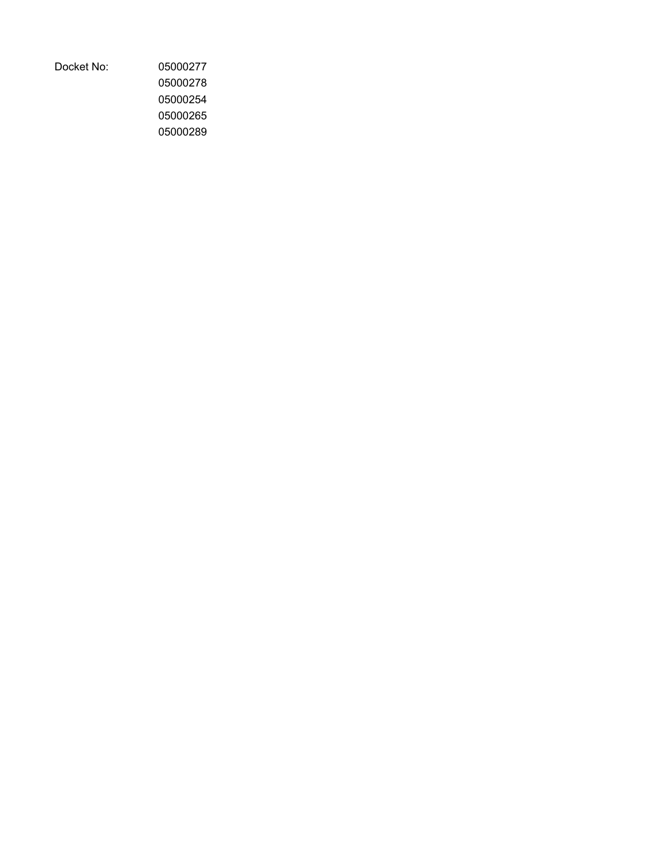| Docket No∶ | 05000277 |
|------------|----------|
|            | 05000278 |
|            | 05000254 |
|            | 05000265 |
|            | 05000289 |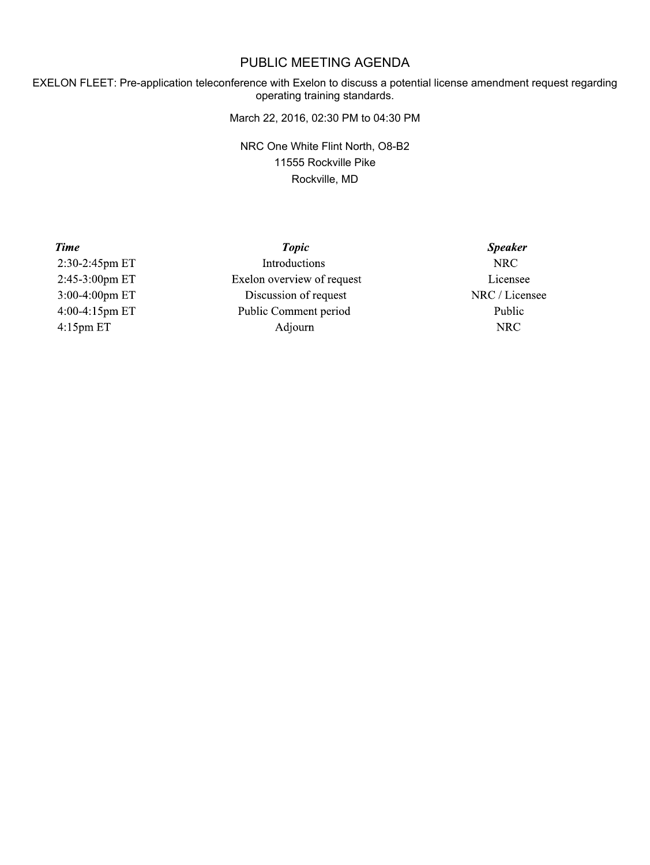# PUBLIC MEETING AGENDA

EXELON FLEET: Pre-application teleconference with Exelon to discuss a potential license amendment request regarding operating training standards.

March 22, 2016, 02:30 PM to 04:30 PM

NRC One White Flint North, O8-B2 11555 Rockville Pike Rockville, MD

### **Time**

2:30-2:45pm ET 2:45-3:00pm ET 3:00-4:00pm ET 4:00-4:15pm ET 4:15pm ET

**Topic** Introductions Exelon overview of request Discussion of request Public Comment period Adjourn

**Speaker NRC** Licensee NRC / Licensee Public **NRC**